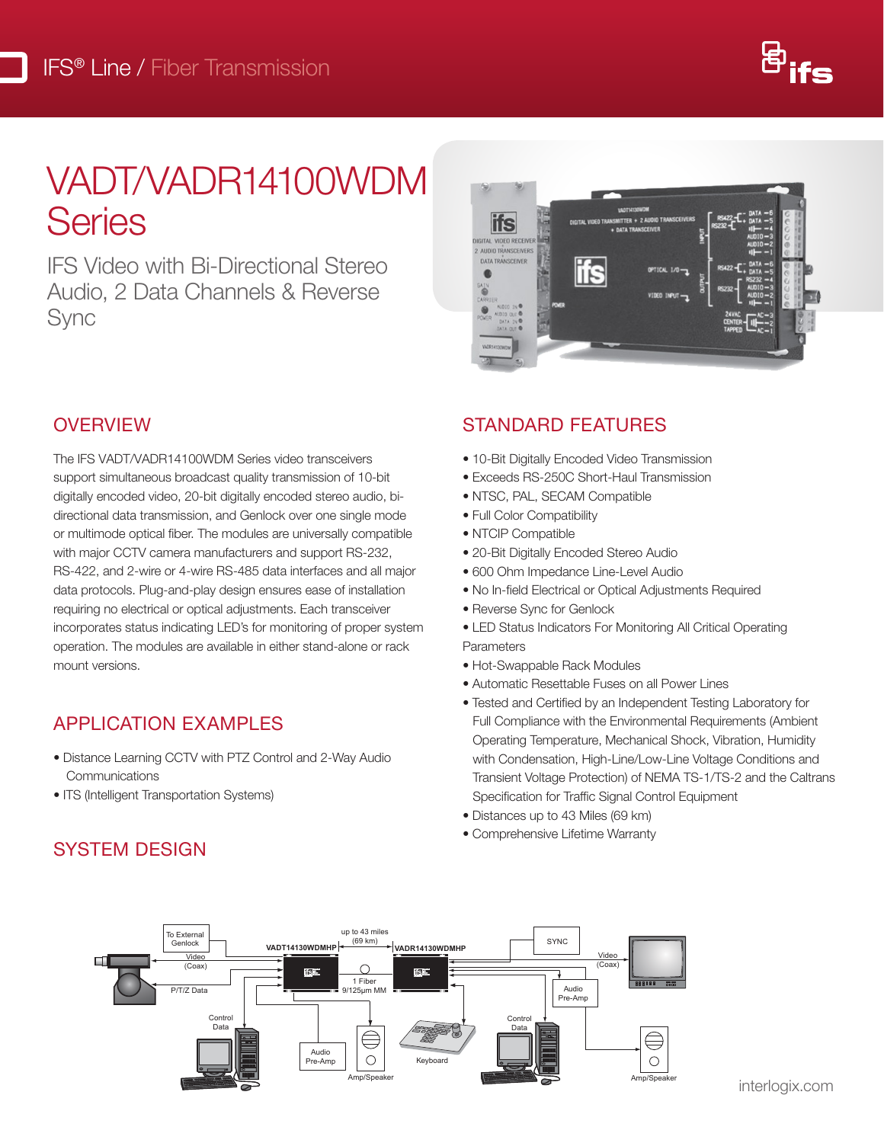

## VADT/VADR14100WDM Series  $\Delta$ zi data: Data: DB 25 DB 25 Connection DB 25 DB 25 OB 25 OB 25 OB 25 OB 25 OB 25 OB 25 OB 25 OB 25 OB 25 OB 25 OB 25 OB 25 OB 25 OB 25 OB 25 OB 25 OB 25 OB 25 OB 25 OB 25 OB 25 OB 25 OB 25 OB 25 OB 25 OB 25 OB 25 OB 25

**IFS Video with Bi-Directional Stereo** n e video with Bribbellonar etoree<br>Audio, 2 Data Channels & Reverse Sync Audio, 2 Data Channels & Reverse  $\cup$ ynic



## OVERVIEW **NATION**

Connectors

The IFS VADT/VADR14100WDM Series video transceivers support simultaneous broadcast quality transmission of 10-bit digitally encoded video, 20-bit digitally encoded stereo audio, bidigitally encoded video, zo-bit digitally encoded stereo addio, bi-<br>directional data transmission, and Genlock over one single mode or multimode optical fiber. The modules are universally compatible with major CCTV camera manufacturers and support RS-232, **caping the Standal Standal Standal Stereo Audio** RS-422, and 2-wire or 4-wire RS-485 data interfaces and all major data protocols. Plug-and-play design ensures ease of installation requiring no electrical or optical adjustments. Each transceiver incorporates status indicating LED's for monitoring of proper system operation. The modules are available in either stand-alone or rack mount versions. directional data transmission, a

## APPLICATION EXAMPLES

- Distance Learning CCTV with PTZ Control and 2-Way Audio Communications  $P_{\text{ext}}$  in power supply,  $\frac{3}{2}$
- ITS (Intelligent Transportation Systems)

### SYSTEM DESIGN **DESIGN** Distance can also be limited by fiber bandwidth. \*\* For 50/125 Fiber, subtract 4 dB from Optical Power Budget. ♦ All accessories are third party manufactured.

### STANDARD FEATURES

- 10-Bit Digitally Encoded Video Transmission
- Exceeds RS-250C Short-Haul Transmission
- NTSC, PAL, SECAM Compatible
- Full Color Compatibility
- NTCIP Compatible
- 20-Bit Digitally Encoded Stereo Audio
- 600 Ohm Impedance Line-Level Audio
- No In-field Electrical or Optical Adjustments Required
- Reverse Sync for Genlock
- LED Status Indicators For Monitoring All Critical Operating Parameters
	- Hot-Swappable Rack Modules
	- Automatic Resettable Fuses on all Power Lines
- Tested and Certified by an Independent Testing Laboratory for Full Compliance with the Environmental Requirements (Ambient Operating Temperature, Mechanical Shock, Vibration, Humidity with Condensation, High-Line/Low-Line Voltage Conditions and Transient Voltage Protection) of NEMA TS-1/TS-2 and the Caltrans Specification for Traffic Signal Control Equipment
	- Distances up to 43 Miles (69 km)
	- Comprehensive Lifetime Warranty